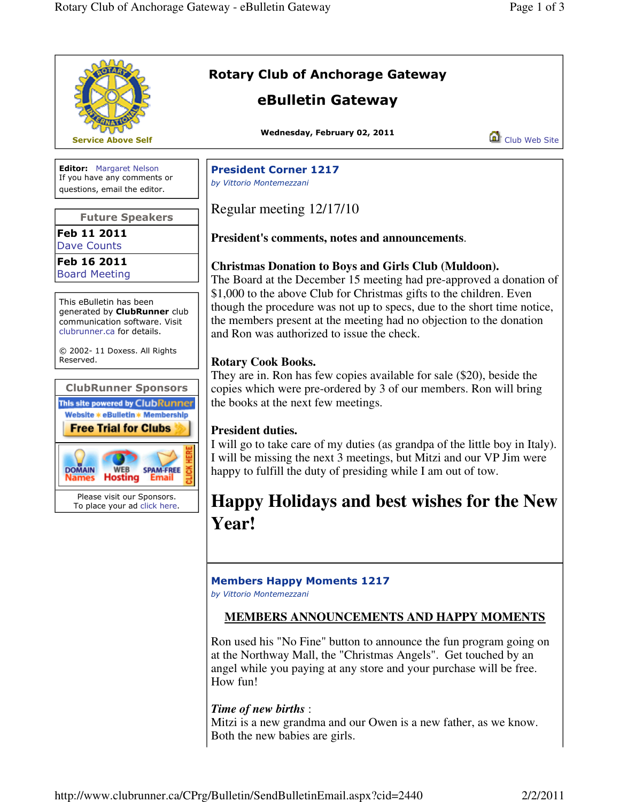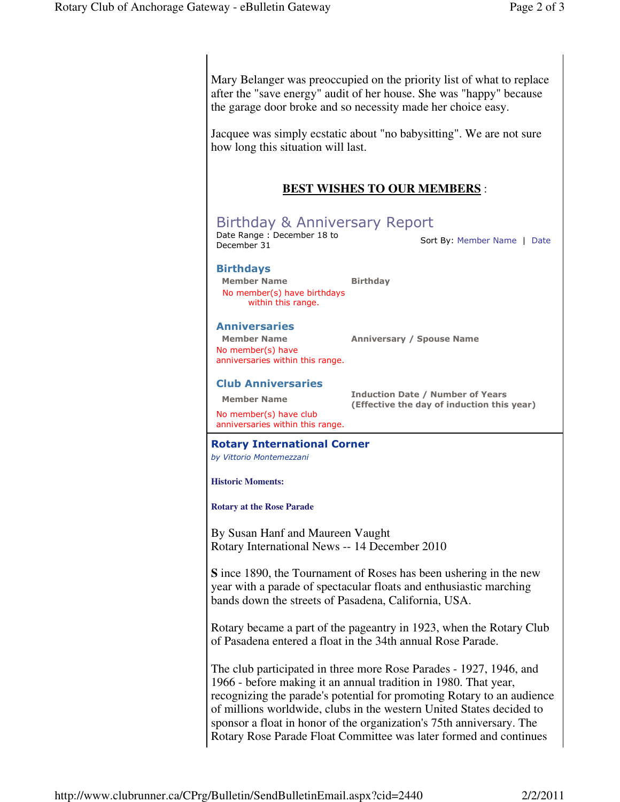Mary Belanger was preoccupied on the priority list of what to replace after the "save energy" audit of her house. She was "happy" because the garage door broke and so necessity made her choice easy.

Jacquee was simply ecstatic about "no babysitting". We are not sure how long this situation will last.

## **BEST WISHES TO OUR MEMBERS** :

# Birthday & Anniversary Report

Date Range: December 18 to<br>December 31 Sort By: Member Name | Date

## Birthdays

Member Name Birthday No member(s) have birthdays within this range.

## Anniversaries

Member Name Anniversary / Spouse Name

No member(s) have anniversaries within this range.

#### Club Anniversaries

No member(s) have club anniversaries within this range.

Member Name **Induction Date / Number of Years** (Effective the day of induction this year)

#### Rotary International Corner

by Vittorio Montemezzani

**Historic Moments:** 

**Rotary at the Rose Parade**

By Susan Hanf and Maureen Vaught Rotary International News -- 14 December 2010

**S** ince 1890, the Tournament of Roses has been ushering in the new year with a parade of spectacular floats and enthusiastic marching bands down the streets of Pasadena, California, USA.

Rotary became a part of the pageantry in 1923, when the Rotary Club of Pasadena entered a float in the 34th annual Rose Parade.

The club participated in three more Rose Parades - 1927, 1946, and 1966 - before making it an annual tradition in 1980. That year, recognizing the parade's potential for promoting Rotary to an audience of millions worldwide, clubs in the western United States decided to sponsor a float in honor of the organization's 75th anniversary. The Rotary Rose Parade Float Committee was later formed and continues